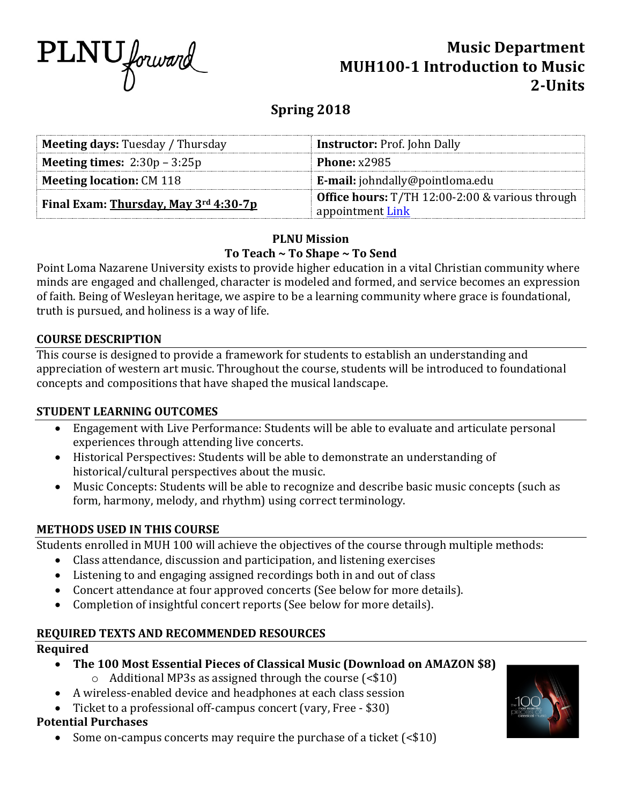

# **Music Department MUH100-1 Introduction to Music 2-Units**

# **Spring 2018**

| <b>Meeting days: Tuesday / Thursday</b> | <b>Instructor: Prof. John Dally</b>                    |  |
|-----------------------------------------|--------------------------------------------------------|--|
| <b>Meeting times:</b> $2:30p - 3:25p$   | Phone: $x2985$                                         |  |
| <b>Meeting location: CM 118</b>         | <b>E-mail:</b> johndally@pointloma.edu                 |  |
| Final Exam: Thursday, May 3rd 4:30-7p   | <b>Office hours:</b> T/TH 12:00-2:00 & various through |  |
|                                         | appointment Link                                       |  |

### **PLNU Mission** To Teach ~ To Shape ~ To Send

Point Loma Nazarene University exists to provide higher education in a vital Christian community where minds are engaged and challenged, character is modeled and formed, and service becomes an expression of faith. Being of Wesleyan heritage, we aspire to be a learning community where grace is foundational, truth is pursued, and holiness is a way of life.

### **COURSE DESCRIPTION**

This course is designed to provide a framework for students to establish an understanding and appreciation of western art music. Throughout the course, students will be introduced to foundational concepts and compositions that have shaped the musical landscape.

### **STUDENT LEARNING OUTCOMES**

- Engagement with Live Performance: Students will be able to evaluate and articulate personal experiences through attending live concerts.
- Historical Perspectives: Students will be able to demonstrate an understanding of historical/cultural perspectives about the music.
- Music Concepts: Students will be able to recognize and describe basic music concepts (such as form, harmony, melody, and rhythm) using correct terminology.

### **METHODS USED IN THIS COURSE**

Students enrolled in MUH 100 will achieve the objectives of the course through multiple methods:

- Class attendance, discussion and participation, and listening exercises
- Listening to and engaging assigned recordings both in and out of class
- Concert attendance at four approved concerts (See below for more details).
- Completion of insightful concert reports (See below for more details).

### **REQUIRED TEXTS AND RECOMMENDED RESOURCES**

### **Required**

- The 100 Most Essential Pieces of Classical Music (Download on AMAZON \$8)
	- $\circ$  Additional MP3s as assigned through the course (<\$10)
- A wireless-enabled device and headphones at each class session
- Ticket to a professional off-campus concert (vary, Free \$30)

## **Potential Purchases**

Some on-campus concerts may require the purchase of a ticket  $\left( \text{&} 10 \right)$ 

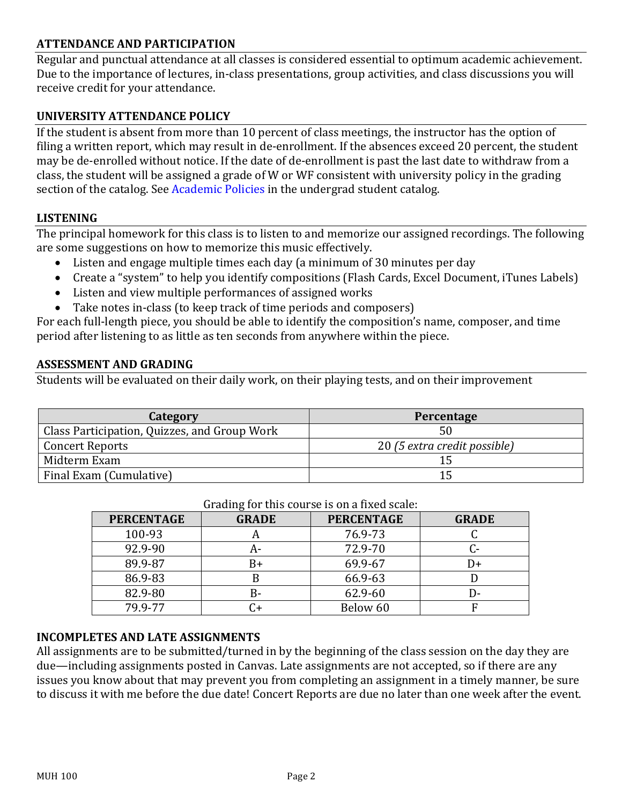### **ATTENDANCE AND PARTICIPATION**

Regular and punctual attendance at all classes is considered essential to optimum academic achievement. Due to the importance of lectures, in-class presentations, group activities, and class discussions you will receive credit for your attendance.

### **UNIVERSITY ATTENDANCE POLICY**

If the student is absent from more than 10 percent of class meetings, the instructor has the option of filing a written report, which may result in de-enrollment. If the absences exceed 20 percent, the student may be de-enrolled without notice. If the date of de-enrollment is past the last date to withdraw from a class, the student will be assigned a grade of W or WF consistent with university policy in the grading section of the catalog. See Academic Policies in the undergrad student catalog.

### **LISTENING**

The principal homework for this class is to listen to and memorize our assigned recordings. The following are some suggestions on how to memorize this music effectively.

- Listen and engage multiple times each day (a minimum of 30 minutes per day
- Create a "system" to help you identify compositions (Flash Cards, Excel Document, iTunes Labels)
- Listen and view multiple performances of assigned works
- Take notes in-class (to keep track of time periods and composers)

For each full-length piece, you should be able to identify the composition's name, composer, and time period after listening to as little as ten seconds from anywhere within the piece.

#### **ASSESSMENT AND GRADING**

Students will be evaluated on their daily work, on their playing tests, and on their improvement

| Category                                     | Percentage                   |
|----------------------------------------------|------------------------------|
| Class Participation, Quizzes, and Group Work |                              |
| <b>Concert Reports</b>                       | 20 (5 extra credit possible) |
| Midterm Exam                                 |                              |
| Final Exam (Cumulative)                      |                              |

| araanig for this course is on a mea search |              |                   |              |  |
|--------------------------------------------|--------------|-------------------|--------------|--|
| <b>PERCENTAGE</b>                          | <b>GRADE</b> | <b>PERCENTAGE</b> | <b>GRADE</b> |  |
| 100-93                                     |              | 76.9-73           |              |  |
| 92.9-90                                    |              | 72.9-70           |              |  |
| 89.9-87                                    | B+           | 69.9-67           |              |  |
| 86.9-83                                    |              | 66.9-63           |              |  |
| 82.9-80                                    | B-           | 62.9-60           |              |  |
| 79.9-77                                    |              | Below 60          |              |  |

#### Grading for this course is on a fixed scale:

### **INCOMPLETES AND LATE ASSIGNMENTS**

All assignments are to be submitted/turned in by the beginning of the class session on the day they are due—including assignments posted in Canvas. Late assignments are not accepted, so if there are any issues you know about that may prevent you from completing an assignment in a timely manner, be sure to discuss it with me before the due date! Concert Reports are due no later than one week after the event.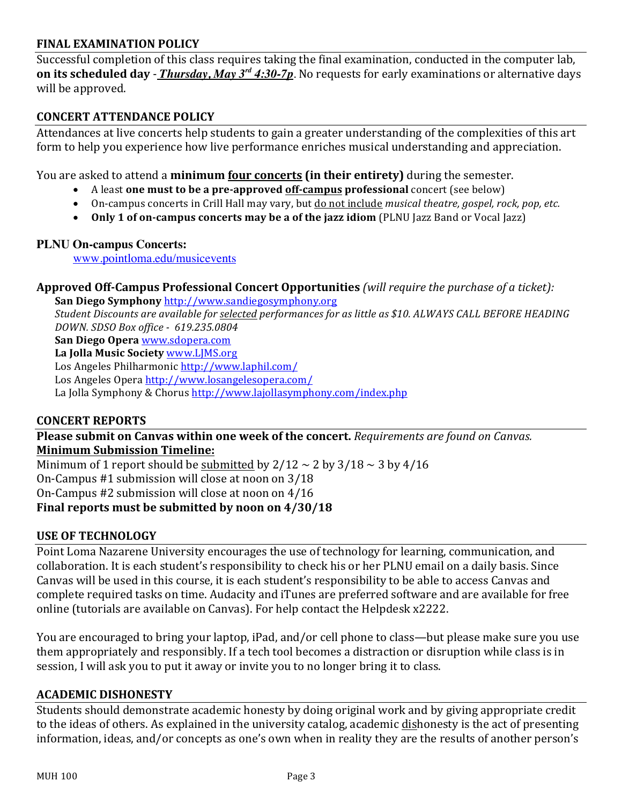### **FINAL EXAMINATION POLICY**

Successful completion of this class requires taking the final examination, conducted in the computer lab, **on its scheduled day** - *Thursday, May*  $3^{rd}$  4:30-7p. No requests for early examinations or alternative days will be approved.

### **CONCERT ATTENDANCE POLICY**

Attendances at live concerts help students to gain a greater understanding of the complexities of this art form to help you experience how live performance enriches musical understanding and appreciation.

You are asked to attend a **minimum four concerts (in their entirety)** during the semester.

- A least **one must to be a pre-approved off-campus professional** concert (see below)
- On-campus concerts in Crill Hall may vary, but do not include *musical theatre, gospel, rock, pop, etc.*
- **Only 1 of on-campus concerts may be a of the jazz idiom (PLNU Jazz Band or Vocal Jazz)**

### **PLNU On-campus Concerts:**

www.pointloma.edu/musicevents

**Approved Off-Campus Professional Concert Opportunities** *(will require the purchase of a ticket):* 

San Diego Symphony http://www.sandiegosymphony.org *Student Discounts are available for selected performances for as little as \$10. ALWAYS CALL BEFORE HEADING* 

*DOWN. SDSO Box office - 619.235.0804*

**San Diego Opera www.sdopera.com** 

La Jolla Music Society www.LJMS.org

Los Angeles Philharmonic http://www.laphil.com/

Los Angeles Opera http://www.losangelesopera.com/

La Jolla Symphony & Chorus http://www.lajollasymphony.com/index.php

### **CONCERT REPORTS**

**Please submit on Canvas within one week of the concert.** *Requirements are found on Canvas.* **Minimum Submission Timeline:** 

Minimum of 1 report should be submitted by  $2/12 \sim 2$  by  $3/18 \sim 3$  by  $4/16$ On-Campus  $#1$  submission will close at noon on  $3/18$ On-Campus  $#2$  submission will close at noon on  $4/16$ **Final reports must be submitted by noon on 4/30/18** 

### **USE OF TECHNOLOGY**

Point Loma Nazarene University encourages the use of technology for learning, communication, and collaboration. It is each student's responsibility to check his or her PLNU email on a daily basis. Since Canvas will be used in this course, it is each student's responsibility to be able to access Canvas and complete required tasks on time. Audacity and iTunes are preferred software and are available for free online (tutorials are available on Canvas). For help contact the Helpdesk x2222.

You are encouraged to bring your laptop, iPad, and/or cell phone to class—but please make sure you use them appropriately and responsibly. If a tech tool becomes a distraction or disruption while class is in session, I will ask you to put it away or invite you to no longer bring it to class.

#### **ACADEMIC DISHONESTY**

Students should demonstrate academic honesty by doing original work and by giving appropriate credit to the ideas of others. As explained in the university catalog, academic dishonesty is the act of presenting information, ideas, and/or concepts as one's own when in reality they are the results of another person's